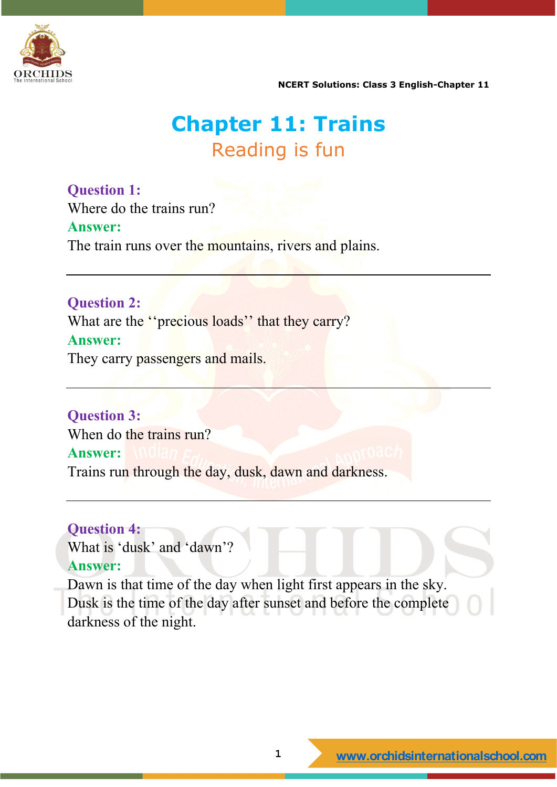

**NCERT Solutions: Class 3 English-Chapter 11** 

### **Chapter 11: Trains** Reading is fun

**Question 1:** Where do the trains run?

#### **Answer:**

The train runs over the mountains, rivers and plains.

**Question 2:**

What are the "precious loads" that they carry? **Answer:** They carry passengers and mails.

**Question 3:** When do the trains run? **Answer:** Trains run through the day, dusk, dawn and darkness.

#### **Question 4:**

What is 'dusk' and 'dawn'? **Answer:**

Dawn is that time of the day when light first appears in the sky. Dusk is the time of the day after sunset and before the complete darkness of the night.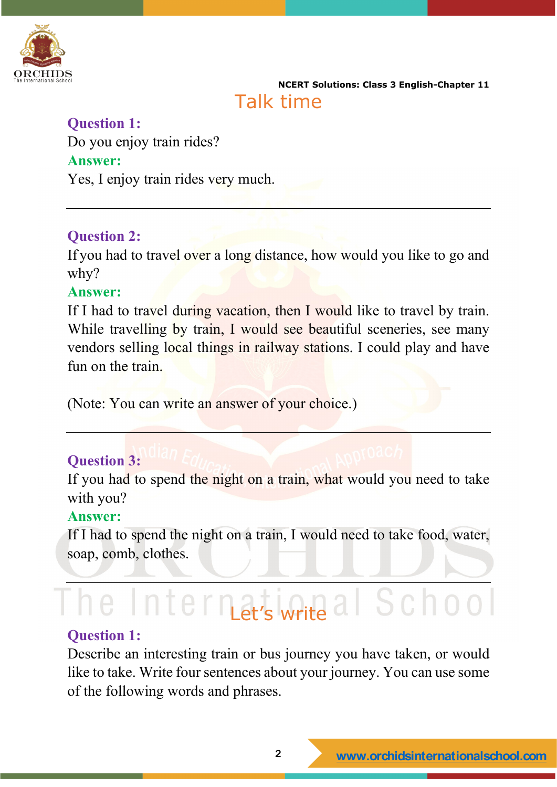

**NCERT Solutions: Class 3 English-Chapter 11**  Talk time

#### **Question 1:**

Do you enjoy train rides? **Answer:** Yes, I enjoy train rides very much.

#### **Question 2:**

If you had to travel over a long distance, how would you like to go and why?

#### **Answer:**

If I had to travel during vacation, then I would like to travel by train. While travelling by train, I would see beautiful sceneries, see many vendors selling local things in railway stations. I could play and have fun on the train.

(Note: You can write an answer of your choice.)

#### **Question 3:**

If you had to spend the night on a train, what would you need to take with you?

#### **Answer:**

If I had to spend the night on a train, I would need to take food, water, soap, comb, clothes.

## he International School

#### **Question 1:**

Describe an interesting train or bus journey you have taken, or would like to take. Write four sentences about your journey. You can use some of the following words and phrases.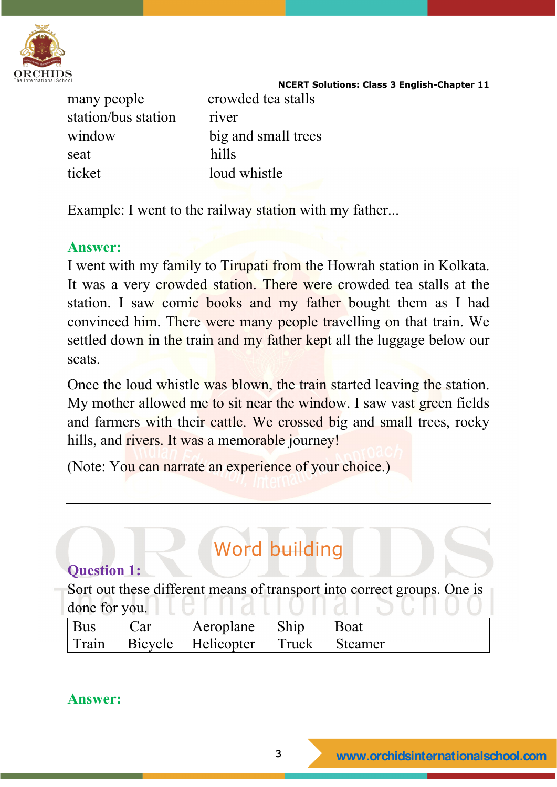

**NCERT Solutions: Class 3 English-Chapter 11** 

many people crowded tea stalls station/bus station river seat hills ticket loud whistle

window big and small trees

Example: I went to the railway station with my father...

#### **Answer:**

I went with my family to Tirupati from the Howrah station in Kolkata. It was a very crowded station. There were crowded tea stalls at the station. I saw comic books and my father bought them as I had convinced him. There were many people travelling on that train. We settled down in the train and my father kept all the luggage below our seats.

Once the loud whistle was blown, the train started leaving the station. My mother allowed me to sit near the window. I saw vast green fields and farmers with their cattle. We crossed big and small trees, rocky hills, and rivers. It was a memorable journey!

(Note: You can narrate an experience of your choice.)

| <b>Word building</b>                                                    |     |                    |       |                |  |  |  |
|-------------------------------------------------------------------------|-----|--------------------|-------|----------------|--|--|--|
| <b>Question 1:</b>                                                      |     |                    |       |                |  |  |  |
| Sort out these different means of transport into correct groups. One is |     |                    |       |                |  |  |  |
| done for you.                                                           |     |                    |       |                |  |  |  |
| <b>Bus</b>                                                              | Car | Aeroplane          | Ship  | Boat           |  |  |  |
| Train                                                                   |     | Bicycle Helicopter | Truck | <b>Steamer</b> |  |  |  |

**Answer:**